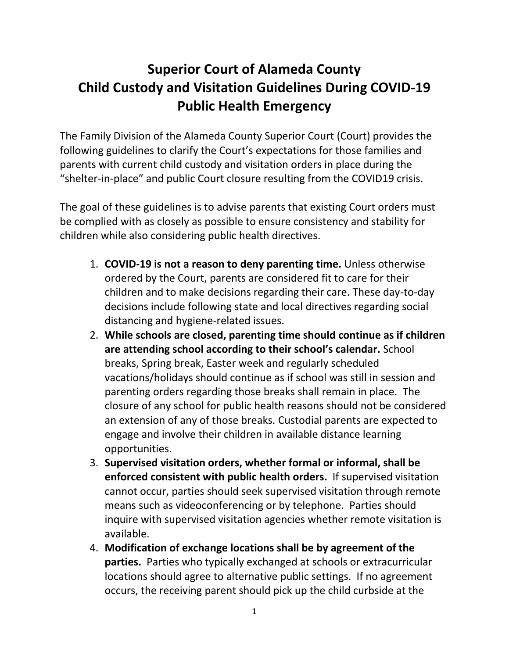## **Superior Court of Alameda County Child Custody and Visitation Guidelines During COVID-19 Public Health Emergency**

The Family Division of the Alameda County Superior Court (Court) provides the following guidelines to clarify the Court's expectations for those families and parents with current child custody and visitation orders in place during the "shelter-in-place" and public Court closure resulting from the COVID19 crisis.

The goal of these guidelines is to advise parents that existing Court orders must be complied with as closely as possible to ensure consistency and stability for children while also considering public health directives.

- 1. **COVID-19 is not a reason to deny parenting time.** Unless otherwise ordered by the Court, parents are considered fit to care for their children and to make decisions regarding their care. These day-to-day decisions include following state and local directives regarding social distancing and hygiene-related issues.
- 2. **While schools are closed, parenting time should continue as if children are attending school according to their school's calendar.** School breaks, Spring break, Easter week and regularly scheduled vacations/holidays should continue as if school was still in session and parenting orders regarding those breaks shall remain in place. The closure of any school for public health reasons should not be considered an extension of any of those breaks. Custodial parents are expected to engage and involve their children in available distance learning opportunities.
- 3. **Supervised visitation orders, whether formal or informal, shall be enforced consistent with public health orders.** If supervised visitation cannot occur, parties should seek supervised visitation through remote means such as videoconferencing or by telephone. Parties should inquire with supervised visitation agencies whether remote visitation is available.
- 4. **Modification of exchange locations shall be by agreement of the parties.** Parties who typically exchanged at schools or extracurricular locations should agree to alternative public settings. If no agreement occurs, the receiving parent should pick up the child curbside at the